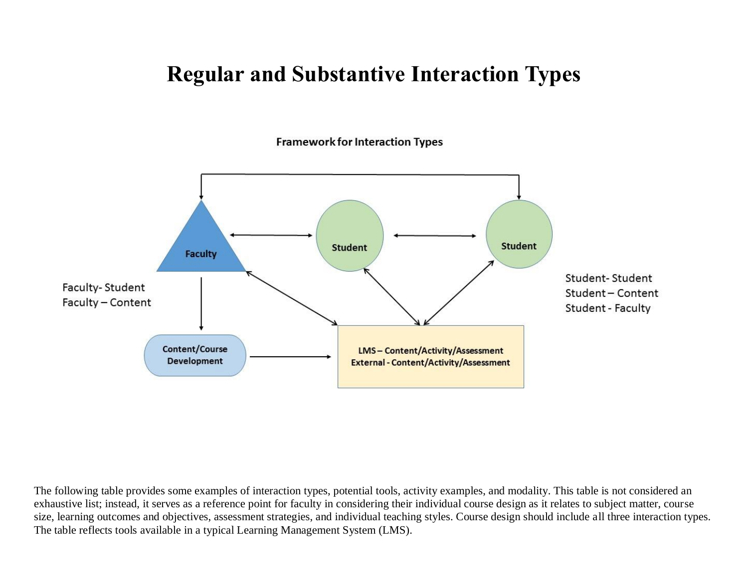## **Regular and Substantive Interaction Types**

**Framework for Interaction Types** 



The following table provides some examples of interaction types, potential tools, activity examples, and modality. This table is not considered an exhaustive list; instead, it serves as a reference point for faculty in considering their individual course design as it relates to subject matter, course size, learning outcomes and objectives, assessment strategies, and individual teaching styles. Course design should include all three interaction types. The table reflects tools available in a typical Learning Management System (LMS).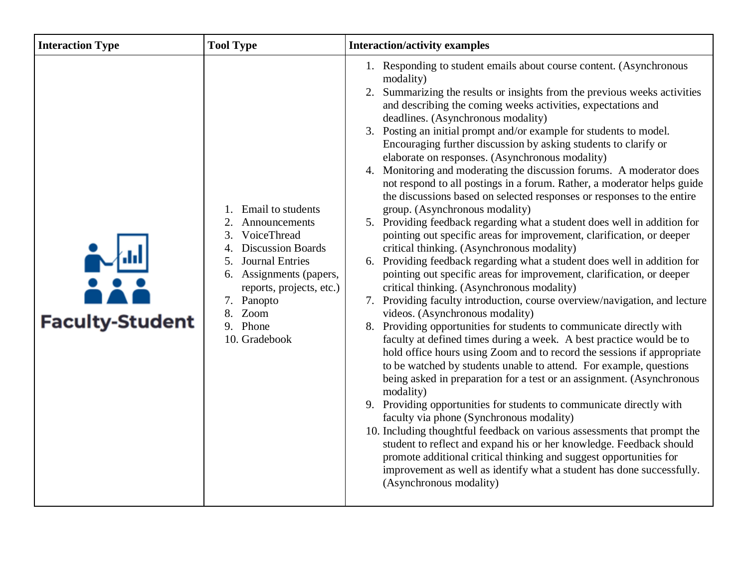| <b>Interaction Type</b> | <b>Tool Type</b>                                                                                                                                                                                                                                          | <b>Interaction/activity examples</b>                                                                                                                                                                                                                                                                                                                                                                                                                                                                                                                                                                                                                                                                                                                                                                                                                                                                                                                                                                                                                                                                                                                                                                                                                                                                                                                                                                                                                                                                                                                                                                                                                                                                                                                                                                                                                                                                                                                                                                                                                                                                 |
|-------------------------|-----------------------------------------------------------------------------------------------------------------------------------------------------------------------------------------------------------------------------------------------------------|------------------------------------------------------------------------------------------------------------------------------------------------------------------------------------------------------------------------------------------------------------------------------------------------------------------------------------------------------------------------------------------------------------------------------------------------------------------------------------------------------------------------------------------------------------------------------------------------------------------------------------------------------------------------------------------------------------------------------------------------------------------------------------------------------------------------------------------------------------------------------------------------------------------------------------------------------------------------------------------------------------------------------------------------------------------------------------------------------------------------------------------------------------------------------------------------------------------------------------------------------------------------------------------------------------------------------------------------------------------------------------------------------------------------------------------------------------------------------------------------------------------------------------------------------------------------------------------------------------------------------------------------------------------------------------------------------------------------------------------------------------------------------------------------------------------------------------------------------------------------------------------------------------------------------------------------------------------------------------------------------------------------------------------------------------------------------------------------------|
| <b>Faculty-Student</b>  | <b>Email</b> to students<br>Announcements<br>VoiceThread<br>3.<br><b>Discussion Boards</b><br>$\overline{4}$<br><b>Journal Entries</b><br>5.<br>6. Assignments (papers,<br>reports, projects, etc.)<br>7. Panopto<br>8. Zoom<br>9. Phone<br>10. Gradebook | 1. Responding to student emails about course content. (Asynchronous<br>modality)<br>Summarizing the results or insights from the previous weeks activities<br>2.<br>and describing the coming weeks activities, expectations and<br>deadlines. (Asynchronous modality)<br>3. Posting an initial prompt and/or example for students to model.<br>Encouraging further discussion by asking students to clarify or<br>elaborate on responses. (Asynchronous modality)<br>4. Monitoring and moderating the discussion forums. A moderator does<br>not respond to all postings in a forum. Rather, a moderator helps guide<br>the discussions based on selected responses or responses to the entire<br>group. (Asynchronous modality)<br>5. Providing feedback regarding what a student does well in addition for<br>pointing out specific areas for improvement, clarification, or deeper<br>critical thinking. (Asynchronous modality)<br>6. Providing feedback regarding what a student does well in addition for<br>pointing out specific areas for improvement, clarification, or deeper<br>critical thinking. (Asynchronous modality)<br>Providing faculty introduction, course overview/navigation, and lecture<br>7.<br>videos. (Asynchronous modality)<br>Providing opportunities for students to communicate directly with<br>8.<br>faculty at defined times during a week. A best practice would be to<br>hold office hours using Zoom and to record the sessions if appropriate<br>to be watched by students unable to attend. For example, questions<br>being asked in preparation for a test or an assignment. (Asynchronous<br>modality)<br>9. Providing opportunities for students to communicate directly with<br>faculty via phone (Synchronous modality)<br>10. Including thoughtful feedback on various assessments that prompt the<br>student to reflect and expand his or her knowledge. Feedback should<br>promote additional critical thinking and suggest opportunities for<br>improvement as well as identify what a student has done successfully.<br>(Asynchronous modality) |